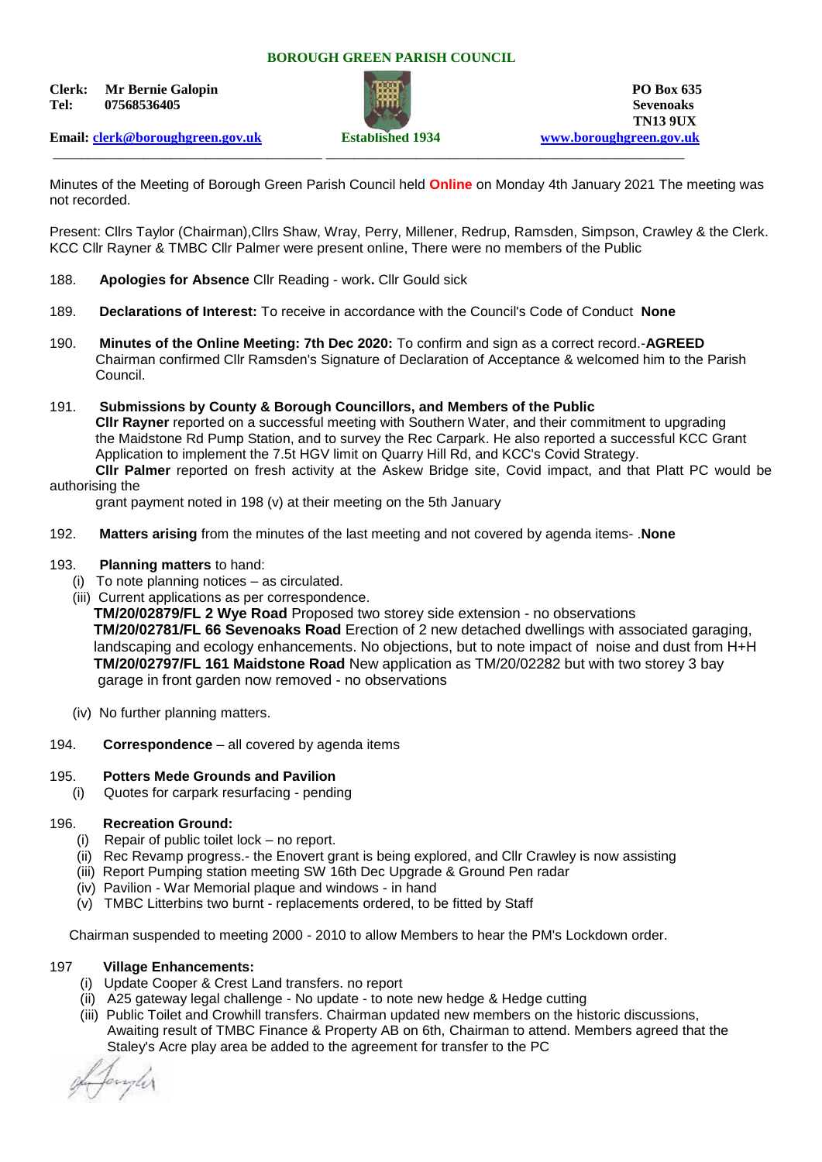#### **BOROUGH GREEN PARISH COUNCIL**

**Clerk:** Mr Bernie Galopin **PO Box 635 Tel: 07568536405 Sevenoaks**



**TN13 9UX Email: [clerk@boroughgreen.gov.uk](mailto:clerk@boroughgreen.gov.uk) Established 1934 [www.boroughgreen.gov.uk](http://www.boroughgreen.gov.uk/)**

\_\_\_\_\_\_\_\_\_\_\_\_\_\_\_\_\_\_\_\_\_\_\_\_\_\_\_\_\_\_\_\_\_\_\_\_\_\_\_ \_\_\_\_\_\_\_\_\_\_\_\_\_\_\_\_\_\_\_\_\_\_\_\_\_\_\_\_\_\_\_\_\_\_\_\_\_\_\_\_\_\_\_\_\_\_\_\_\_\_\_\_

Minutes of the Meeting of Borough Green Parish Council held **Online** on Monday 4th January 2021 The meeting was not recorded.

Present: Cllrs Taylor (Chairman),Cllrs Shaw, Wray, Perry, Millener, Redrup, Ramsden, Simpson, Crawley & the Clerk. KCC Cllr Rayner & TMBC Cllr Palmer were present online, There were no members of the Public

- 188. **Apologies for Absence** Cllr Reading work**.** Cllr Gould sick
- 189. **Declarations of Interest:** To receive in accordance with the Council's Code of Conduct **None**
- 190. **Minutes of the Online Meeting: 7th Dec 2020:** To confirm and sign as a correct record.-**AGREED** Chairman confirmed Cllr Ramsden's Signature of Declaration of Acceptance & welcomed him to the Parish Council.
- 191. **Submissions by County & Borough Councillors, and Members of the Public Cllr Rayner** reported on a successful meeting with Southern Water, and their commitment to upgrading the Maidstone Rd Pump Station, and to survey the Rec Carpark. He also reported a successful KCC Grant Application to implement the 7.5t HGV limit on Quarry Hill Rd, and KCC's Covid Strategy. **Cllr Palmer** reported on fresh activity at the Askew Bridge site, Covid impact, and that Platt PC would be authorising the

grant payment noted in 198 (v) at their meeting on the 5th January

192. **Matters arising** from the minutes of the last meeting and not covered by agenda items- .**None**

#### 193. **Planning matters** to hand:

- (i) To note planning notices as circulated.
- (iii) Current applications as per correspondence.

 **TM/20/02879/FL 2 Wye Road** Proposed two storey side extension - no observations  **TM/20/02781/FL 66 Sevenoaks Road** Erection of 2 new detached dwellings with associated garaging, landscaping and ecology enhancements. No objections, but to note impact of noise and dust from H+H  **TM/20/02797/FL 161 Maidstone Road** New application as TM/20/02282 but with two storey 3 bay garage in front garden now removed - no observations

- (iv) No further planning matters.
- 194. **Correspondence** all covered by agenda items

# 195. **Potters Mede Grounds and Pavilion**

(i) Quotes for carpark resurfacing - pending

# 196. **Recreation Ground:**

- (i) Repair of public toilet lock no report.
- (ii) Rec Revamp progress.- the Enovert grant is being explored, and Cllr Crawley is now assisting
- (iii) Report Pumping station meeting SW 16th Dec Upgrade & Ground Pen radar
- (iv) Pavilion War Memorial plaque and windows in hand
- (v) TMBC Litterbins two burnt replacements ordered, to be fitted by Staff

Chairman suspended to meeting 2000 - 2010 to allow Members to hear the PM's Lockdown order.

#### 197 **Village Enhancements:**

- (i) Update Cooper & Crest Land transfers. no report
- (ii) A25 gateway legal challenge No update to note new hedge & Hedge cutting
- (iii) Public Toilet and Crowhill transfers. Chairman updated new members on the historic discussions, Awaiting result of TMBC Finance & Property AB on 6th, Chairman to attend. Members agreed that the Staley's Acre play area be added to the agreement for transfer to the PC

Janyler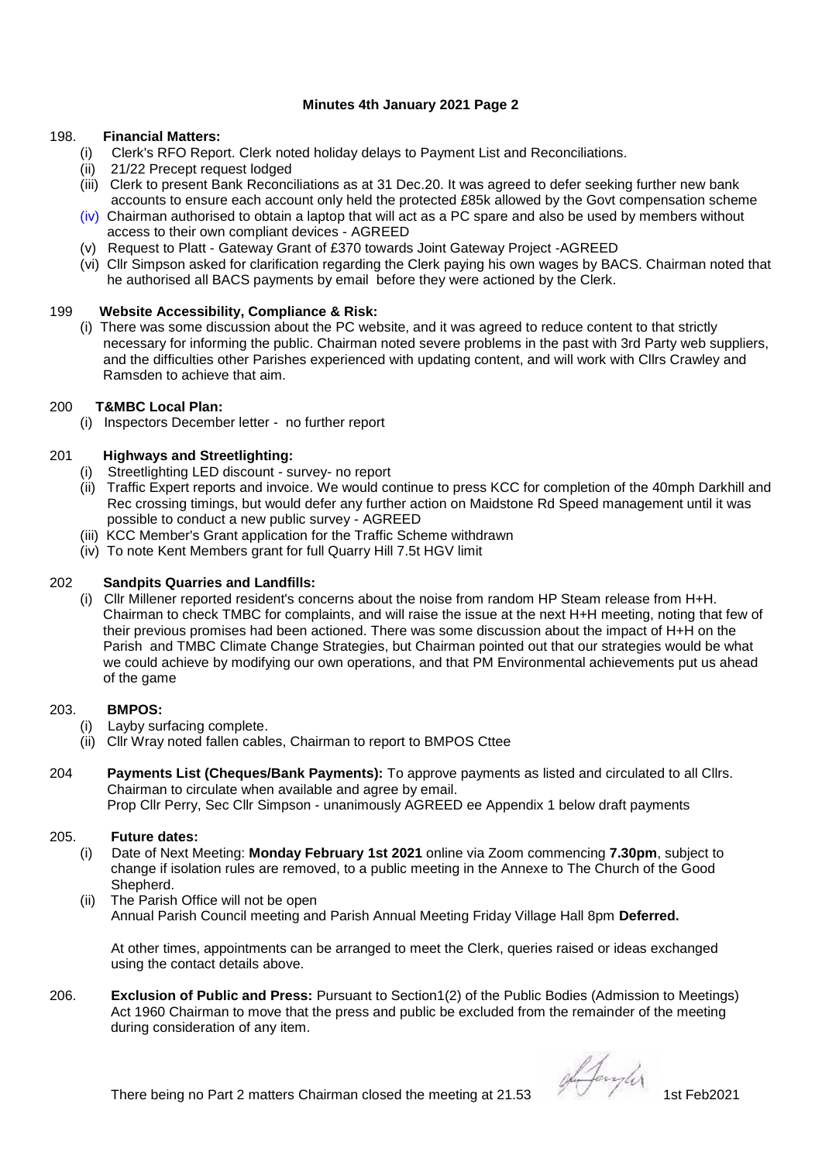# **Minutes 4th January 2021 Page 2**

### 198. **Financial Matters:**

- (i) Clerk's RFO Report. Clerk noted holiday delays to Payment List and Reconciliations.
- (ii) 21/22 Precept request lodged
- (iii) Clerk to present Bank Reconciliations as at 31 Dec.20. It was agreed to defer seeking further new bank accounts to ensure each account only held the protected £85k allowed by the Govt compensation scheme
- $(iv)$  Chairman authorised to obtain a laptop that will act as a PC spare and also be used by members without access to their own compliant devices - AGREED
- (v) Request to Platt Gateway Grant of £370 towards Joint Gateway Project -AGREED
- (vi) Cllr Simpson asked for clarification regarding the Clerk paying his own wages by BACS. Chairman noted that he authorised all BACS payments by email before they were actioned by the Clerk.

#### 199 **Website Accessibility, Compliance & Risk:**

 (i) There was some discussion about the PC website, and it was agreed to reduce content to that strictly necessary for informing the public. Chairman noted severe problems in the past with 3rd Party web suppliers, and the difficulties other Parishes experienced with updating content, and will work with Cllrs Crawley and Ramsden to achieve that aim.

#### 200 **T&MBC Local Plan:**

(i) Inspectors December letter - no further report

# 201 **Highways and Streetlighting:**

- (i) Streetlighting LED discount survey- no report
- (ii) Traffic Expert reports and invoice. We would continue to press KCC for completion of the 40mph Darkhill and Rec crossing timings, but would defer any further action on Maidstone Rd Speed management until it was possible to conduct a new public survey - AGREED
- (iii) KCC Member's Grant application for the Traffic Scheme withdrawn
- (iv) To note Kent Members grant for full Quarry Hill 7.5t HGV limit

### 202 **Sandpits Quarries and Landfills:**

 (i) Cllr Millener reported resident's concerns about the noise from random HP Steam release from H+H. Chairman to check TMBC for complaints, and will raise the issue at the next H+H meeting, noting that few of their previous promises had been actioned. There was some discussion about the impact of H+H on the Parish and TMBC Climate Change Strategies, but Chairman pointed out that our strategies would be what we could achieve by modifying our own operations, and that PM Environmental achievements put us ahead of the game

#### 203. **BMPOS:**

- (i) Layby surfacing complete.
- (ii) Cllr Wray noted fallen cables, Chairman to report to BMPOS Cttee
- 204 **Payments List (Cheques/Bank Payments):** To approve payments as listed and circulated to all Cllrs. Chairman to circulate when available and agree by email. Prop Cllr Perry, Sec Cllr Simpson - unanimously AGREED ee Appendix 1 below draft payments

#### 205. **Future dates:**

- (i) Date of Next Meeting: **Monday February 1st 2021** online via Zoom commencing **7.30pm**, subject to change if isolation rules are removed, to a public meeting in the Annexe to The Church of the Good Shepherd.
- (ii) The Parish Office will not be open Annual Parish Council meeting and Parish Annual Meeting Friday Village Hall 8pm **Deferred.**

 At other times, appointments can be arranged to meet the Clerk, queries raised or ideas exchanged using the contact details above.

206. **Exclusion of Public and Press:** Pursuant to Section1(2) of the Public Bodies (Admission to Meetings) Act 1960 Chairman to move that the press and public be excluded from the remainder of the meeting during consideration of any item.

There being no Part 2 matters Chairman closed the meeting at 21.53